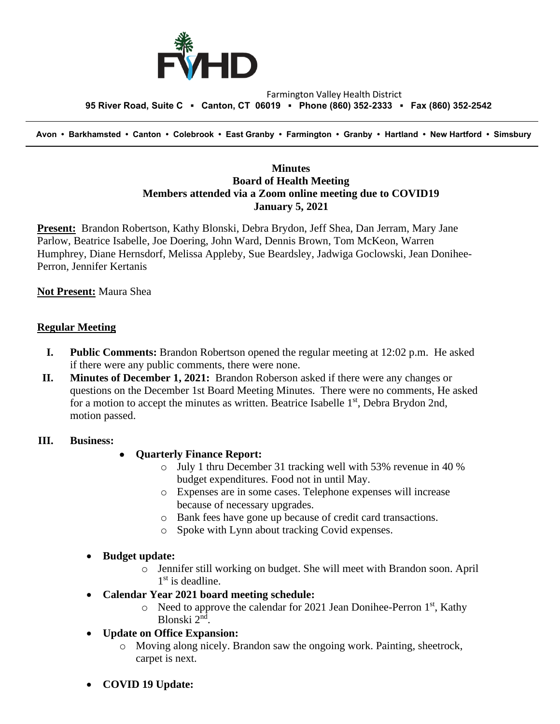

### Farmington Valley Health District  **95 River Road, Suite C ▪ Canton, CT 06019 ▪ Phone (860) 352-2333 ▪ Fax (860) 352-2542**

 **Avon • Barkhamsted • Canton • Colebrook • East Granby • Farmington • Granby • Hartland • New Hartford • Simsbury**

# **Minutes Board of Health Meeting Members attended via a Zoom online meeting due to COVID19 January 5, 2021**

**Present:** Brandon Robertson, Kathy Blonski, Debra Brydon, Jeff Shea, Dan Jerram, Mary Jane Parlow, Beatrice Isabelle, Joe Doering, John Ward, Dennis Brown, Tom McKeon, Warren Humphrey, Diane Hernsdorf, Melissa Appleby, Sue Beardsley, Jadwiga Goclowski, Jean Donihee-Perron, Jennifer Kertanis

## **Not Present:** Maura Shea

## **Regular Meeting**

- **I. Public Comments:** Brandon Robertson opened the regular meeting at 12:02 p.m. He asked if there were any public comments, there were none.
- **II. Minutes of December 1, 2021:** Brandon Roberson asked if there were any changes or questions on the December 1st Board Meeting Minutes. There were no comments, He asked for a motion to accept the minutes as written. Beatrice Isabelle 1<sup>st</sup>, Debra Brydon 2nd, motion passed.

## **III. Business:**

## • **Quarterly Finance Report:**

- o July 1 thru December 31 tracking well with 53% revenue in 40 % budget expenditures. Food not in until May.
- o Expenses are in some cases. Telephone expenses will increase because of necessary upgrades.
- o Bank fees have gone up because of credit card transactions.
- o Spoke with Lynn about tracking Covid expenses.

## • **Budget update:**

- o Jennifer still working on budget. She will meet with Brandon soon. April 1<sup>st</sup> is deadline.
- **Calendar Year 2021 board meeting schedule:**
	- $\circ$  Need to approve the calendar for 2021 Jean Donihee-Perron 1<sup>st</sup>, Kathy Blonski 2<sup>nd</sup>.
- **Update on Office Expansion:**
	- o Moving along nicely. Brandon saw the ongoing work. Painting, sheetrock, carpet is next.
- **COVID 19 Update:**